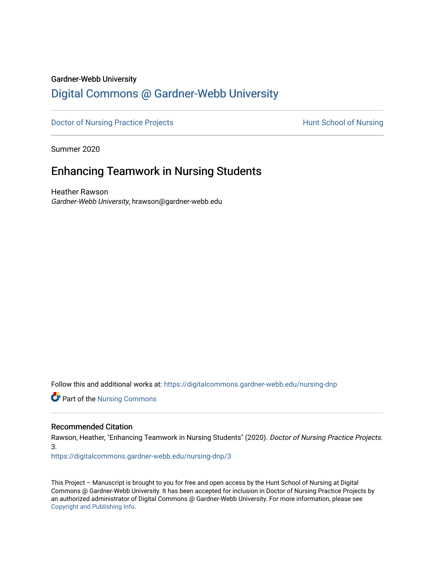## Gardner-Webb University

# [Digital Commons @ Gardner-Webb University](https://digitalcommons.gardner-webb.edu/)

[Doctor of Nursing Practice Projects](https://digitalcommons.gardner-webb.edu/nursing-dnp) **Exercise Exercise Serverse Hunt School of Nursing** 

Summer 2020

# Enhancing Teamwork in Nursing Students

Heather Rawson Gardner-Webb University, hrawson@gardner-webb.edu

Follow this and additional works at: [https://digitalcommons.gardner-webb.edu/nursing-dnp](https://digitalcommons.gardner-webb.edu/nursing-dnp?utm_source=digitalcommons.gardner-webb.edu%2Fnursing-dnp%2F3&utm_medium=PDF&utm_campaign=PDFCoverPages) 

**Part of the Nursing Commons** 

## Recommended Citation

Rawson, Heather, "Enhancing Teamwork in Nursing Students" (2020). Doctor of Nursing Practice Projects. 3.

[https://digitalcommons.gardner-webb.edu/nursing-dnp/3](https://digitalcommons.gardner-webb.edu/nursing-dnp/3?utm_source=digitalcommons.gardner-webb.edu%2Fnursing-dnp%2F3&utm_medium=PDF&utm_campaign=PDFCoverPages) 

This Project – Manuscript is brought to you for free and open access by the Hunt School of Nursing at Digital Commons @ Gardner-Webb University. It has been accepted for inclusion in Doctor of Nursing Practice Projects by an authorized administrator of Digital Commons @ Gardner-Webb University. For more information, please see [Copyright and Publishing Info.](https://digitalcommons.gardner-webb.edu/copyright_publishing.html)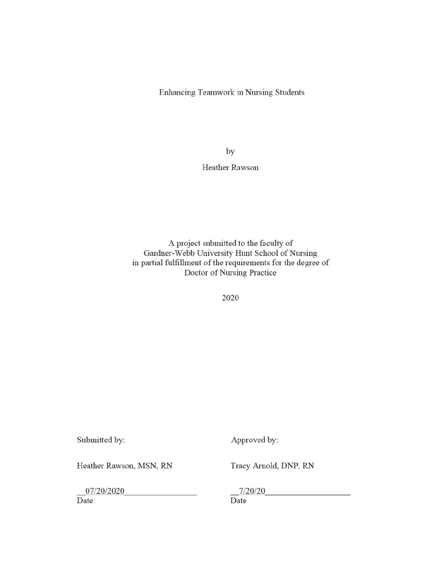Enhancing Teamwork in Nursing Students

by

Heather Rawson

A project submitted to the faculty of Gardner-Webb University Hunt School of Nursing in partial fulfillment of the requirements for the degree of Doctor of Nursing Practice

2020

Submitted by:

Approved by:

Heather Rawson, MSN, RN

Tracy Arnold, DNP, RN

07/20/2020

Date

 $7/20/20$ 

Date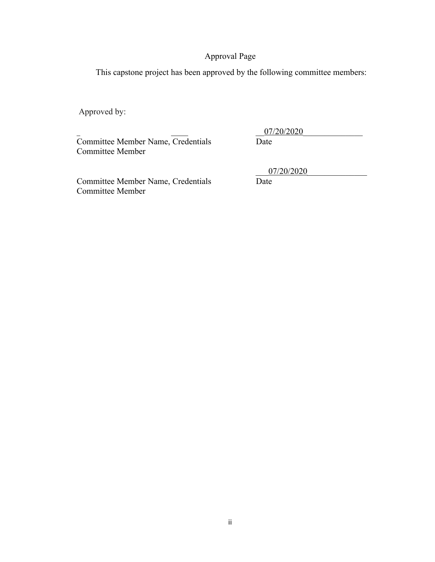## Approval Page

This capstone project has been approved by the following committee members:

Approved by:

Committee Member Name, Credentials Date Committee Member

07/20/2020

Committee Member Name, Credentials Date Committee Member

\_\_\_07/20/2020\_\_\_\_\_\_\_\_\_\_\_\_\_\_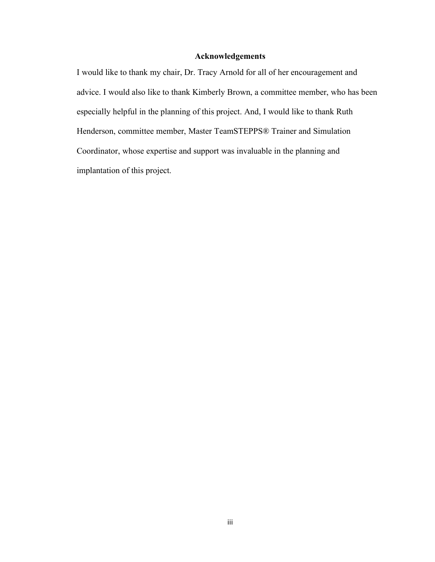## **Acknowledgements**

I would like to thank my chair, Dr. Tracy Arnold for all of her encouragement and advice. I would also like to thank Kimberly Brown, a committee member, who has been especially helpful in the planning of this project. And, I would like to thank Ruth Henderson, committee member, Master TeamSTEPPS® Trainer and Simulation Coordinator, whose expertise and support was invaluable in the planning and implantation of this project.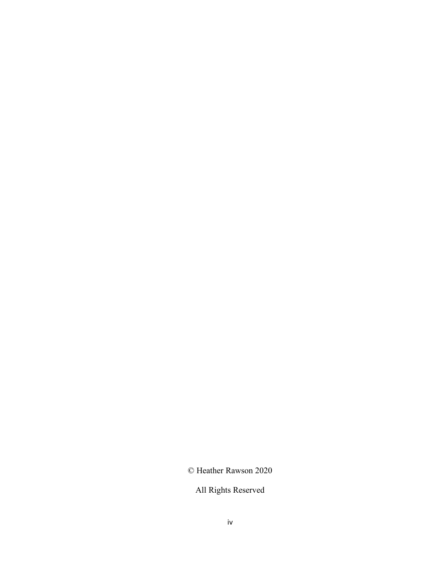© Heather Rawson 2020

All Rights Reserved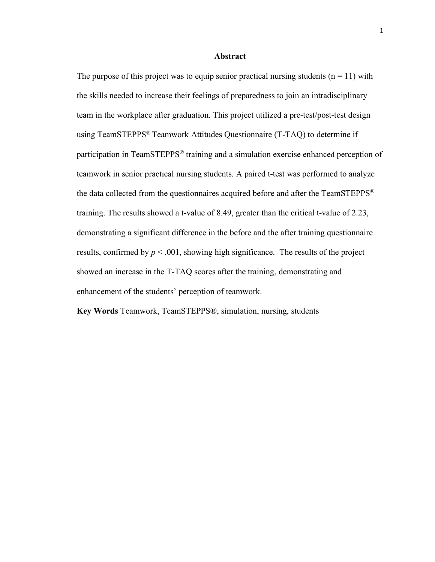#### **Abstract**

The purpose of this project was to equip senior practical nursing students  $(n = 11)$  with the skills needed to increase their feelings of preparedness to join an intradisciplinary team in the workplace after graduation. This project utilized a pre-test/post-test design using TeamSTEPPS® Teamwork Attitudes Questionnaire (T-TAQ) to determine if participation in TeamSTEPPS® training and a simulation exercise enhanced perception of teamwork in senior practical nursing students. A paired t-test was performed to analyze the data collected from the questionnaires acquired before and after the TeamSTEPPS® training. The results showed a t-value of 8.49, greater than the critical t-value of 2.23, demonstrating a significant difference in the before and the after training questionnaire results, confirmed by  $p < .001$ , showing high significance. The results of the project showed an increase in the T-TAQ scores after the training, demonstrating and enhancement of the students' perception of teamwork.

**Key Words** Teamwork, TeamSTEPPS®, simulation, nursing, students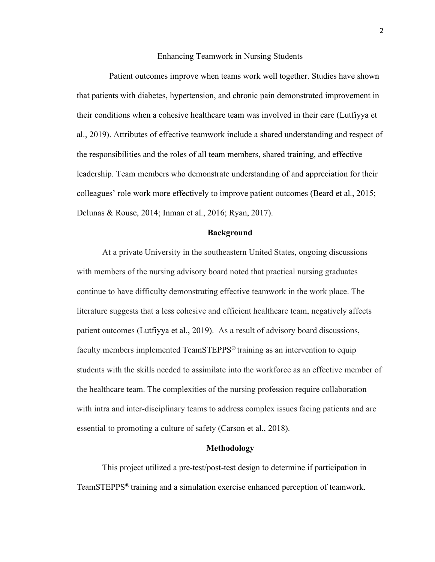#### Enhancing Teamwork in Nursing Students

Patient outcomes improve when teams work well together. Studies have shown that patients with diabetes, hypertension, and chronic pain demonstrated improvement in their conditions when a cohesive healthcare team was involved in their care (Lutfiyya et al., 2019). Attributes of effective teamwork include a shared understanding and respect of the responsibilities and the roles of all team members, shared training, and effective leadership. Team members who demonstrate understanding of and appreciation for their colleagues' role work more effectively to improve patient outcomes (Beard et al., 2015; Delunas & Rouse, 2014; Inman et al., 2016; Ryan, 2017).

#### **Background**

At a private University in the southeastern United States, ongoing discussions with members of the nursing advisory board noted that practical nursing graduates continue to have difficulty demonstrating effective teamwork in the work place. The literature suggests that a less cohesive and efficient healthcare team, negatively affects patient outcomes (Lutfiyya et al., 2019). As a result of advisory board discussions, faculty members implemented TeamSTEPPS® training as an intervention to equip students with the skills needed to assimilate into the workforce as an effective member of the healthcare team. The complexities of the nursing profession require collaboration with intra and inter-disciplinary teams to address complex issues facing patients and are essential to promoting a culture of safety (Carson et al., 2018).

#### **Methodology**

This project utilized a pre-test/post-test design to determine if participation in TeamSTEPPS® training and a simulation exercise enhanced perception of teamwork.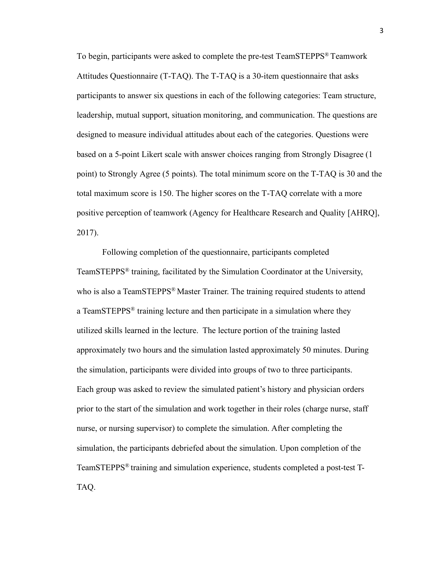To begin, participants were asked to complete the pre-test TeamSTEPPS® Teamwork Attitudes Questionnaire (T-TAQ). The T-TAQ is a 30-item questionnaire that asks participants to answer six questions in each of the following categories: Team structure, leadership, mutual support, situation monitoring, and communication. The questions are designed to measure individual attitudes about each of the categories. Questions were based on a 5-point Likert scale with answer choices ranging from Strongly Disagree (1 point) to Strongly Agree (5 points). The total minimum score on the T-TAQ is 30 and the total maximum score is 150. The higher scores on the T-TAQ correlate with a more positive perception of teamwork (Agency for Healthcare Research and Quality [AHRQ], 2017).

Following completion of the questionnaire, participants completed TeamSTEPPS® training, facilitated by the Simulation Coordinator at the University, who is also a TeamSTEPPS<sup>®</sup> Master Trainer. The training required students to attend a TeamSTEPPS® training lecture and then participate in a simulation where they utilized skills learned in the lecture. The lecture portion of the training lasted approximately two hours and the simulation lasted approximately 50 minutes. During the simulation, participants were divided into groups of two to three participants. Each group was asked to review the simulated patient's history and physician orders prior to the start of the simulation and work together in their roles (charge nurse, staff nurse, or nursing supervisor) to complete the simulation. After completing the simulation, the participants debriefed about the simulation. Upon completion of the TeamSTEPPS® training and simulation experience, students completed a post-test T-TAQ.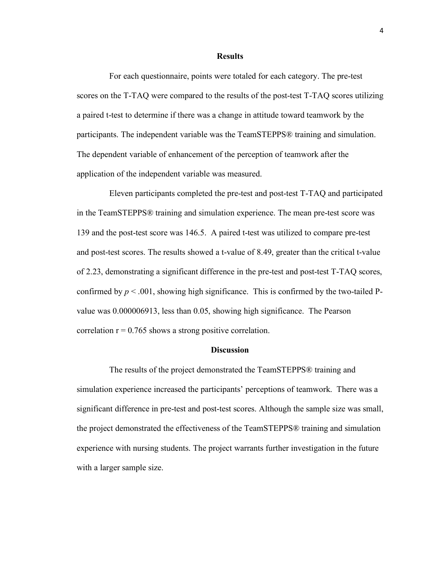#### **Results**

 For each questionnaire, points were totaled for each category. The pre-test scores on the T-TAQ were compared to the results of the post-test T-TAQ scores utilizing a paired t-test to determine if there was a change in attitude toward teamwork by the participants. The independent variable was the TeamSTEPPS® training and simulation. The dependent variable of enhancement of the perception of teamwork after the application of the independent variable was measured.

 Eleven participants completed the pre-test and post-test T-TAQ and participated in the TeamSTEPPS® training and simulation experience. The mean pre-test score was 139 and the post-test score was 146.5. A paired t-test was utilized to compare pre-test and post-test scores. The results showed a t-value of 8.49, greater than the critical t-value of 2.23, demonstrating a significant difference in the pre-test and post-test T-TAQ scores, confirmed by  $p < .001$ , showing high significance. This is confirmed by the two-tailed Pvalue was 0.000006913, less than 0.05, showing high significance. The Pearson correlation  $r = 0.765$  shows a strong positive correlation.

### **Discussion**

 The results of the project demonstrated the TeamSTEPPS® training and simulation experience increased the participants' perceptions of teamwork. There was a significant difference in pre-test and post-test scores. Although the sample size was small, the project demonstrated the effectiveness of the TeamSTEPPS® training and simulation experience with nursing students. The project warrants further investigation in the future with a larger sample size.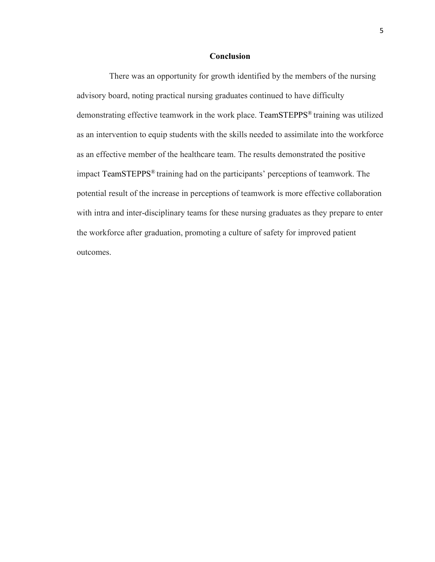### **Conclusion**

 There was an opportunity for growth identified by the members of the nursing advisory board, noting practical nursing graduates continued to have difficulty demonstrating effective teamwork in the work place. TeamSTEPPS® training was utilized as an intervention to equip students with the skills needed to assimilate into the workforce as an effective member of the healthcare team. The results demonstrated the positive impact TeamSTEPPS® training had on the participants' perceptions of teamwork. The potential result of the increase in perceptions of teamwork is more effective collaboration with intra and inter-disciplinary teams for these nursing graduates as they prepare to enter the workforce after graduation, promoting a culture of safety for improved patient outcomes.